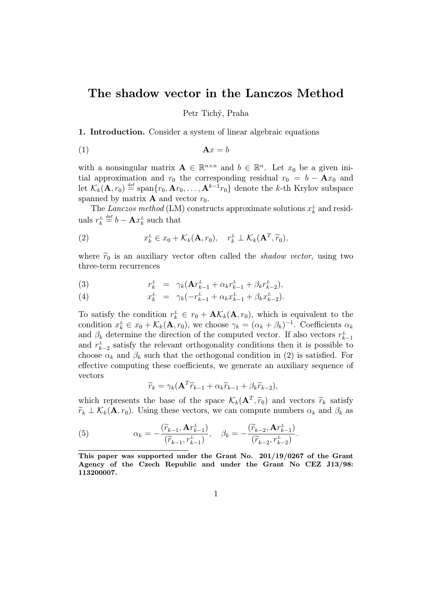## The shadow vector in the Lanczos Method

Petr Tichý, Praha

1. Introduction. Consider a system of linear algebraic equations

$$
A x = b
$$

with a nonsingular matrix  $A \in \mathbb{R}^{n \times n}$  and  $b \in \mathbb{R}^n$ . Let  $x_0$  be a given initial approximation and  $r_0$  the corresponding residual  $r_0 = b - \mathbf{A}x_0$  and let  $\mathcal{K}_k(\mathbf{A}, r_0) \stackrel{\text{def}}{=} \text{span}\{r_0, \mathbf{A}r_0, \dots, \mathbf{A}^{k-1}r_0\}$  denote the k-th Krylov subspace spanned by matrix **A** and vector  $r_0$ .

The Lanczos method (LM) constructs approximate solutions  $x_k^L$  and residuals  $r_k^L \stackrel{\text{def}}{=} b - \mathbf{A} x_k^L$  such that

(2) 
$$
x_k^L \in x_0 + \mathcal{K}_k(\mathbf{A}, r_0), \quad r_k^L \perp \mathcal{K}_k(\mathbf{A}^T, \widetilde{r}_0),
$$

where  $\widetilde{r}_0$  is an auxiliary vector often called the *shadow vector*, using two three-term recurrences

(3) 
$$
r_k^L = \gamma_k (\mathbf{A} r_{k-1}^L + \alpha_k r_{k-1}^L + \beta_k r_{k-2}^L),
$$

(4) 
$$
x_k^L = \gamma_k(-r_{k-1}^L + \alpha_k x_{k-1}^L + \beta_k x_{k-2}^L).
$$

To satisfy the condition  $r_k^L \in r_0 + \mathbf{A}\mathcal{K}_k(\mathbf{A}, r_0)$ , which is equivalent to the condition  $x_k^L \in x_0 + \mathcal{K}_k(\mathbf{A}, r_0)$ , we choose  $\gamma_k = (\alpha_k + \beta_k)^{-1}$ . Coefficients  $\alpha_k$ and  $\beta_k$  determine the direction of the computed vector. If also vectors  $r_{k-1}^L$ and  $r_{k-2}^L$  satisfy the relevant orthogonality conditions then it is possible to choose  $\alpha_k$  and  $\beta_k$  such that the orthogonal condition in (2) is satisfied. For effective computing these coefficients, we generate an auxiliary sequence of vectors

$$
\widetilde{r}_k = \gamma_k (\mathbf{A}^T \widetilde{r}_{k-1} + \alpha_k \widetilde{r}_{k-1} + \beta_k \widetilde{r}_{k-2}),
$$

which represents the base of the space  $\mathcal{K}_k(\mathbf{A}^T, \widetilde{r}_0)$  and vectors  $\widetilde{r}_k$  satisfy  $\widetilde{r}_k \perp \mathcal{K}_k(\mathbf{A}, r_0)$ . Using these vectors, we can compute numbers  $\alpha_k$  and  $\beta_k$  as

(5) 
$$
\alpha_k = -\frac{(\widetilde{r}_{k-1}, \mathbf{A}r_{k-1}^L)}{(\widetilde{r}_{k-1}, r_{k-1}^L)}, \quad \beta_k = -\frac{(\widetilde{r}_{k-2}, \mathbf{A}r_{k-1}^L)}{(\widetilde{r}_{k-2}, r_{k-2}^L)}.
$$

This paper was supported under the Grant No. 201/19/0267 of the Grant Agency of the Czech Republic and under the Grant No CEZ J13/98: 113200007.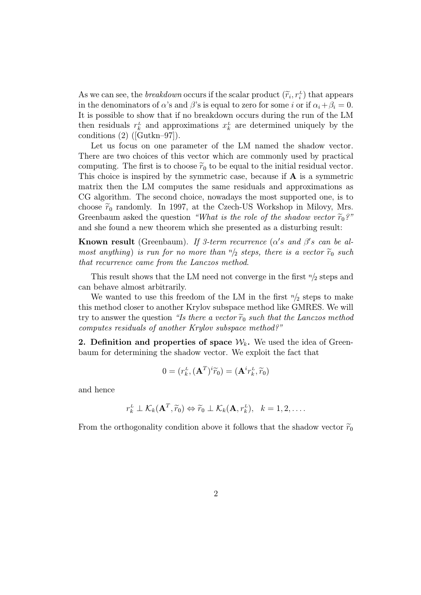As we can see, the *breakdown* occurs if the scalar product  $(\widetilde{r}_i, r_i^L)$  that appears in the denominators of  $\alpha$ 's and  $\beta$ 's is equal to zero for some i or if  $\alpha_i + \beta_i = 0$ . It is possible to show that if no breakdown occurs during the run of the LM then residuals  $r_k^L$  and approximations  $x_k^L$  are determined uniquely by the conditions (2) ([Gutkn–97]).

Let us focus on one parameter of the LM named the shadow vector. There are two choices of this vector which are commonly used by practical computing. The first is to choose  $\tilde{r}_0$  to be equal to the initial residual vector. This choice is inspired by the symmetric case, because if  $\bf{A}$  is a symmetric matrix then the LM computes the same residuals and approximations as CG algorithm. The second choice, nowadays the most supported one, is to choose  $\tilde{r}_0$  randomly. In 1997, at the Czech-US Workshop in Milovy, Mrs. Greenbaum asked the question "What is the role of the shadow vector  $\widetilde{r}_0$ ?" and she found a new theorem which she presented as a disturbing result:

**Known result** (Greenbaum). If 3-term recurrence ( $\alpha's$  and  $\beta's$  can be almost anything) is run for no more than  $n/2$  steps, there is a vector  $\widetilde{r}_0$  such that recurrence came from the Lanczos method.

This result shows that the LM need not converge in the first  $n/2$  steps and can behave almost arbitrarily.

We wanted to use this freedom of the LM in the first  $n/2$  steps to make this method closer to another Krylov subspace method like GMRES. We will try to answer the question "Is there a vector  $\widetilde{r}_0$  such that the Lanczos method computes residuals of another Krylov subspace method?"

2. Definition and properties of space  $\mathcal{W}_k$ . We used the idea of Greenbaum for determining the shadow vector. We exploit the fact that

$$
0=(r_k^{\scriptscriptstyle L},({\bf A}^T)^i\widetilde{r}_0) = ({\bf A}^i r_k^{\scriptscriptstyle L},\widetilde{r}_0)
$$

and hence

$$
r_k^L \perp \mathcal{K}_k(\mathbf{A}^T, \widetilde{r}_0) \Leftrightarrow \widetilde{r}_0 \perp \mathcal{K}_k(\mathbf{A}, r_k^L), \quad k = 1, 2, \ldots.
$$

From the orthogonality condition above it follows that the shadow vector  $\tilde{r}_0$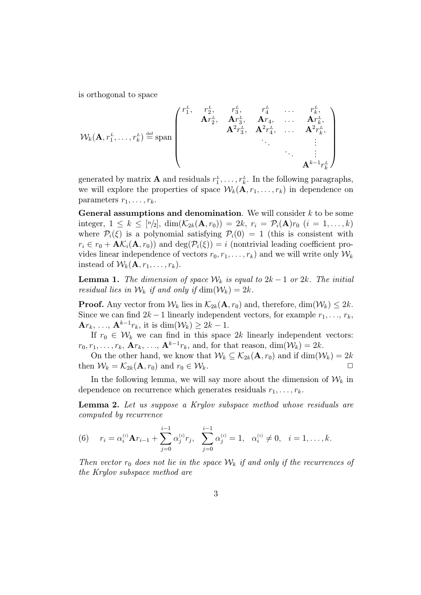is orthogonal to space

$$
\mathcal{W}_{k}(\mathbf{A}, r_{1}^{L}, \ldots, r_{k}^{L}) \stackrel{\text{def}}{=} \text{span}\left(\begin{array}{cccccc} r_{1}^{L}, & r_{2}^{L}, & r_{3}^{L}, & r_{4}^{L} & \ldots & r_{k}^{L}, \\ \mathbf{A}r_{2}^{L}, & \mathbf{A}r_{3}^{L}, & \mathbf{A}r_{4}, & \ldots & \mathbf{A}r_{k}^{L}, \\ \mathbf{A}^{2}r_{3}^{L}, & \mathbf{A}^{2}r_{4}^{L}, & \ldots & \mathbf{A}^{2}r_{k}^{L}, \\ & \ddots & \vdots & \vdots \\ & & \ddots & \vdots \\ & & & \mathbf{A}^{k-1}r_{k}^{L} \end{array}\right)
$$

generated by matrix **A** and residuals  $r_1^L, \ldots, r_k^L$ . In the following paragraphs, we will explore the properties of space  $W_k(\mathbf{A}, r_1, \ldots, r_k)$  in dependence on parameters  $r_1, \ldots, r_k$ .

General assumptions and denomination. We will consider  $k$  to be some integer,  $1 \leq k \leq [n/2], \dim(\mathcal{K}_{2k}(\mathbf{A}, r_0)) = 2k, r_i = \mathcal{P}_i(\mathbf{A})r_0$   $(i = 1, ..., k)$ where  $\mathcal{P}_i(\xi)$  is a polynomial satisfying  $\mathcal{P}_i(0) = 1$  (this is consistent with  $r_i \in r_0 + \mathbf{A}\mathcal{K}_i(\mathbf{A}, r_0)$  and  $\deg(\mathcal{P}_i(\xi)) = i$  (nontrivial leading coefficient provides linear independence of vectors  $r_0, r_1, \ldots, r_k$  and we will write only  $\mathcal{W}_k$ instead of  $\mathcal{W}_k(\mathbf{A}, r_1, \ldots, r_k)$ .

**Lemma 1.** The dimension of space  $W_k$  is equal to  $2k-1$  or  $2k$ . The initial residual lies in  $\mathcal{W}_k$  if and only if  $\dim(\mathcal{W}_k) = 2k$ .

**Proof.** Any vector from  $\mathcal{W}_k$  lies in  $\mathcal{K}_{2k}(\mathbf{A}, r_0)$  and, therefore,  $\dim(\mathcal{W}_k) \leq 2k$ . Since we can find  $2k-1$  linearly independent vectors, for example  $r_1, \ldots, r_k$ ,  $\mathbf{A}r_k, \ldots, \mathbf{A}^{k-1}r_k$ , it is  $\dim(\mathcal{W}_k) \geq 2k-1$ .

If  $r_0 \in W_k$  we can find in this space 2k linearly independent vectors:  $r_0, r_1, \ldots, r_k$ ,  $\mathbf{A}r_k, \ldots, \mathbf{A}^{k-1}r_k$ , and, for that reason,  $\dim(\mathcal{W}_k) = 2k$ .

On the other hand, we know that  $\mathcal{W}_k \subseteq \mathcal{K}_{2k}(\mathbf{A}, r_0)$  and if  $\dim(\mathcal{W}_k) = 2k$ then  $W_k = \mathcal{K}_{2k}(\mathbf{A}, r_0)$  and  $r_0 \in \mathcal{W}_k$ .

In the following lemma, we will say more about the dimension of  $\mathcal{W}_k$  in dependence on recurrence which generates residuals  $r_1, \ldots, r_k$ .

Lemma 2. Let us suppose a Krylov subspace method whose residuals are computed by recurrence

(6) 
$$
r_i = \alpha_i^{(i)} \mathbf{A} r_{i-1} + \sum_{j=0}^{i-1} \alpha_j^{(i)} r_j
$$
,  $\sum_{j=0}^{i-1} \alpha_j^{(i)} = 1$ ,  $\alpha_i^{(i)} \neq 0$ ,  $i = 1, ..., k$ .

Then vector  $r_0$  does not lie in the space  $\mathcal{W}_k$  if and only if the recurrences of the Krylov subspace method are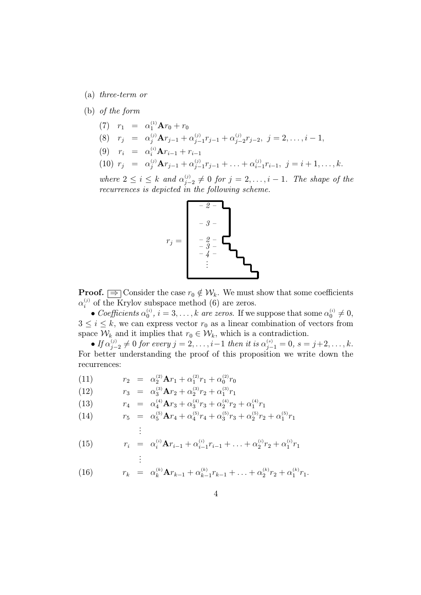(a) three-term or

## (b) of the form

- (7)  $r_1 = \alpha_1^{(1)} \mathbf{A} r_0 + r_0$
- (8)  $r_j = \alpha_j^{(j)} \mathbf{A} r_{j-1} + \alpha_{j-1}^{(j)} r_{j-1} + \alpha_{j-2}^{(j)} r_{j-2}, \ j = 2, \ldots, i-1,$
- (9)  $r_i = \alpha_i^{(i)} \mathbf{A} r_{i-1} + r_{i-1}$
- (10)  $r_j = \alpha_j^{(j)} \mathbf{A} r_{j-1} + \alpha_{j-1}^{(j)} r_{j-1} + \ldots + \alpha_{i-1}^{(j)} r_{i-1}, \ j = i+1, \ldots, k.$

where  $2 \leq i \leq k$  and  $\alpha_{j-2}^{(j)} \neq 0$  for  $j = 2, \ldots, i-1$ . The shape of the recurrences is depicted in the following scheme.



**Proof.**  $\Rightarrow$  Consider the case  $r_0 \notin W_k$ . We must show that some coefficients  $\alpha_i^{(j)}$  of the Krylov subspace method (6) are zeros.

• Coefficients  $\alpha_0^{(i)}$ ,  $i = 3, ..., k$  are zeros. If we suppose that some  $\alpha_0^{(i)} \neq 0$ ,  $3 \leq i \leq k$ , we can express vector  $r_0$  as a linear combination of vectors from space  $\mathcal{W}_k$  and it implies that  $r_0 \in \mathcal{W}_k$ , which is a contradiction.

• If  $\alpha_{j-2}^{(j)} \neq 0$  for every  $j = 2, \ldots, i-1$  then it is  $\alpha_{j-1}^{(s)} = 0, s = j+2, \ldots, k$ . For better understanding the proof of this proposition we write down the recurrences:

(11)  $r_2 = \alpha_2^{(2)} \mathbf{A} r_1 + \alpha_1^{(2)} r_1 + \alpha_0^{(2)} r_0$ 

(12) 
$$
r_3 = \alpha_3^{(3)} \mathbf{A} r_2 + \alpha_2^{(3)} r_2 + \alpha_1^{(3)} r_1
$$

(13)  $r_4 = \alpha_4^{(4)} \mathbf{A} r_3 + \alpha_3^{(4)} r_3 + \alpha_2^{(4)} r_2 + \alpha_1^{(4)} r_1$ 

(14) 
$$
r_5 = \alpha_5^{(5)} \mathbf{A} r_4 + \alpha_4^{(5)} r_4 + \alpha_3^{(5)} r_3 + \alpha_2^{(5)} r_2 + \alpha_1^{(5)} r_1
$$

$$
\vdots
$$

(15) 
$$
r_i = \alpha_i^{(i)} \mathbf{A} r_{i-1} + \alpha_{i-1}^{(i)} r_{i-1} + \ldots + \alpha_2^{(i)} r_2 + \alpha_1^{(i)} r_1
$$

$$
\vdots
$$

(16) 
$$
r_k = \alpha_k^{(k)} \mathbf{A} r_{k-1} + \alpha_{k-1}^{(k)} r_{k-1} + \ldots + \alpha_2^{(k)} r_2 + \alpha_1^{(k)} r_1.
$$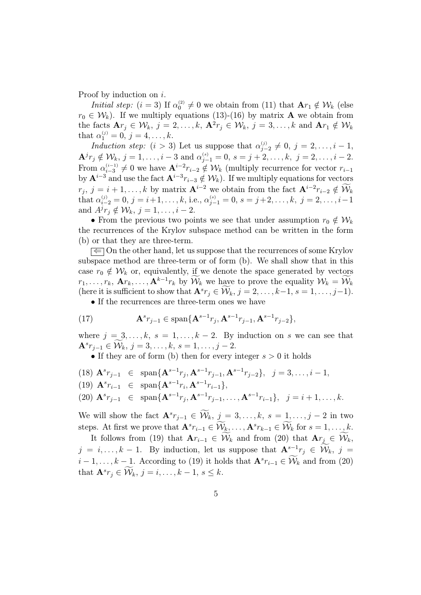Proof by induction on i.

*Initial step:*  $(i = 3)$  If  $\alpha_0^{(2)} \neq 0$  we obtain from (11) that  $\mathbf{A}r_1 \notin \mathcal{W}_k$  (else  $r_0 \in \mathcal{W}_k$ ). If we multiply equations (13)-(16) by matrix **A** we obtain from the facts  $\mathbf{A}r_j \in \mathcal{W}_k$ ,  $j = 2, \ldots, k$ ,  $\mathbf{A}^2r_j \in \mathcal{W}_k$ ,  $j = 3, \ldots, k$  and  $\mathbf{A}r_1 \notin \mathcal{W}_k$ that  $\alpha_1^{(j)} = 0, j = 4, \ldots, k$ .

Induction step:  $(i > 3)$  Let us suppose that  $\alpha_{j-2}^{(j)} \neq 0, j = 2, \ldots, i-1$ ,  $\mathbf{A}^j r_j \notin \mathcal{W}_k, j = 1, \ldots, i-3 \text{ and } \alpha_{j-1}^{(s)} = 0, s = j+2, \ldots, k, j = 2, \ldots, i-2.$ From  $\alpha_{i-3}^{(i-1)} \neq 0$  we have  $\mathbf{A}^{i-2}r_{i-2} \notin \mathcal{W}_k$  (multiply recurrence for vector  $r_{i-1}$ by  $\mathbf{A}^{i-3}$  and use the fact  $\mathbf{A}^{i-3}r_{i-3}\notin \mathcal{W}_k$ . If we multiply equations for vectors  $r_j, j = i + 1, \ldots, k$  by matrix  $\mathbf{A}^{i-2}$  we obtain from the fact  $\mathbf{A}^{i-2} r_{i-2} \notin \widetilde{\mathcal{W}}_k$  $\text{that} \ \alpha_{i-2}^{(j)}=0, \, j=i+1, \ldots, k, \, \text{i.e.,} \ \alpha_{j-1}^{(s)}=0, \, s=j+2, \ldots, k, \, \, j=2, \ldots, i-1$ and  $A^j r_j \notin \mathcal{W}_k$ ,  $j = 1, \ldots, i - 2$ .

• From the previous two points we see that under assumption  $r_0 \notin \mathcal{W}_k$ the recurrences of the Krylov subspace method can be written in the form (b) or that they are three-term.

 $\leq$  On the other hand, let us suppose that the recurrences of some Krylov subspace method are three-term or of form (b). We shall show that in this case  $r_0 \notin W_k$  or, equivalently, if we denote the space generated by vectors  $r_1, \ldots, r_k, \mathbf{A}r_k, \ldots, \mathbf{A}^{k-1}r_k$  by  $\widetilde{\mathcal{W}}_k$  we have to prove the equality  $\mathcal{W}_k = \widetilde{\mathcal{W}}_k$ (here it is sufficient to show that  $\mathbf{A}^s r_j \in \widetilde{\mathcal{W}}_k$ ,  $j = 2, \ldots, k-1, s = 1, \ldots, j-1$ ).

• If the recurrences are three-term ones we have

(17) 
$$
\mathbf{A}^{s} r_{j-1} \in \text{span}\{\mathbf{A}^{s-1} r_{j}, \mathbf{A}^{s-1} r_{j-1}, \mathbf{A}^{s-1} r_{j-2}\},
$$

where  $j = 3, \ldots, k, s = 1, \ldots, k - 2$ . By induction on s we can see that  $\mathbf{A}^{s}r_{j-1} \in \widetilde{\mathcal{W}}_{k}, j = 3, \ldots, k, s = 1, \ldots, j-2.$ 

• If they are of form (b) then for every integer  $s > 0$  it holds

- (18)  $\mathbf{A}^{s} r_{j-1} \in \text{span}\{\mathbf{A}^{s-1} r_{j}, \mathbf{A}^{s-1} r_{j-1}, \mathbf{A}^{s-1} r_{j-2}\}, \ j = 3, \ldots, i-1,$
- (19)  $\mathbf{A}^{s} r_{i-1} \in \text{span}\{\mathbf{A}^{s-1} r_{i}, \mathbf{A}^{s-1} r_{i-1}\},\$
- (20)  $\mathbf{A}^{s} r_{j-1} \in \text{span}\{\mathbf{A}^{s-1} r_{j}, \mathbf{A}^{s-1} r_{j-1}, \dots, \mathbf{A}^{s-1} r_{i-1}\}, j = i+1, \dots, k.$

We will show the fact  $\mathbf{A}^{s}r_{j-1} \in \widetilde{\mathcal{W}}_k$ ,  $j = 3, \ldots, k$ ,  $s = 1, \ldots, j-2$  in two steps. At first we prove that  $\mathbf{A}^s r_{i-1} \in \widetilde{\mathcal{W}}_k, \ldots, \mathbf{A}^s r_{k-1} \in \widetilde{\mathcal{W}}_k$  for  $s = 1, \ldots, k$ .

It follows from (19) that  $A_{r_{i-1}} \in \widetilde{\mathcal{W}}_k$  and from (20) that  $A_{r_i} \in \widetilde{\mathcal{W}}_k$ ,  $j = i, \ldots, k - 1$ . By induction, let us suppose that  $\mathbf{A}^{s-1}r_j \in \widetilde{\mathcal{W}}_k$ ,  $j =$  $i-1,\ldots,k-1$ . According to (19) it holds that  $\mathbf{A}^{s}r_{i-1} \in \widetilde{\mathcal{W}}_{k}$  and from (20) that  $\mathbf{A}^s r_j \in \widetilde{\mathcal{W}}_k, j = i, \ldots, k - 1, s \leq k.$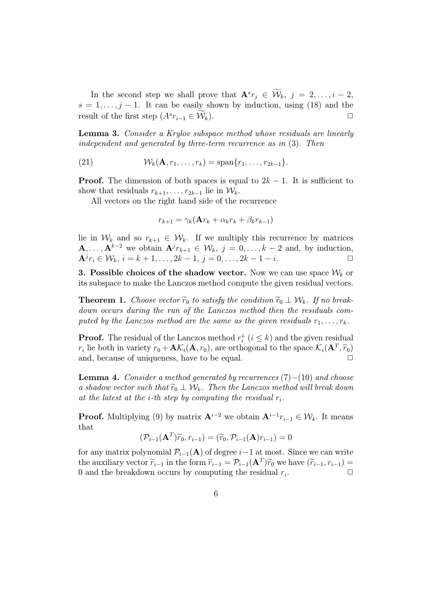In the second step we shall prove that  $\mathbf{A}^{s}r_j \in \widetilde{\mathcal{W}}_k$ ,  $j = 2, \ldots, i - 2$ ,  $s = 1, \ldots, j - 1$ . It can be easily shown by induction, using (18) and the result of the first step  $(A^s r_{i-1} \in \widetilde{\mathcal{W}}_k)$ .  $\Box$ 

Lemma 3. Consider a Krylov subspace method whose residuals are linearly independent and generated by three-term recurrence as in (3). Then

(21)  $\mathcal{W}_k(\mathbf{A}, r_1, \dots, r_k) = \text{span}\{r_1, \dots, r_{2k-1}\}.$ 

**Proof.** The dimension of both spaces is equal to  $2k - 1$ . It is sufficient to show that residuals  $r_{k+1}, \ldots, r_{2k-1}$  lie in  $\mathcal{W}_k$ .

All vectors on the right hand side of the recurrence

$$
r_{k+1} = \gamma_k(\mathbf{A}r_k + \alpha_k r_k + \beta_k r_{k-1})
$$

lie in  $W_k$  and so  $r_{k+1} \in W_k$ . If we multiply this recurrence by matrices  $\mathbf{A}, \ldots, \mathbf{A}^{k-2}$  we obtain  $\mathbf{A}^{j}r_{k+1} \in \mathcal{W}_k$ ,  $j = 0, \ldots, k-2$  and, by induction,  $A^{j}r_{i} \in \mathcal{W}_{k}, i = k + 1, \ldots, 2k - 1, j = 0, \ldots, 2k - 1 - i.$ 

**3. Possible choices of the shadow vector.** Now we can use space  $W_k$  or its subspace to make the Lanczos method compute the given residual vectors.

**Theorem 1.** Choose vector  $\widetilde{r}_0$  to satisfy the condition  $\widetilde{r}_0 \perp \mathcal{W}_k$ . If no breakdown occurs during the run of the Lanczos method then the residuals computed by the Lanczos method are the same as the given residuals  $r_1, \ldots, r_k$ .

**Proof.** The residual of the Lanczos method  $r_i^L$  ( $i \leq k$ ) and the given residual  $r_i$  lie both in variety  $r_0 + \mathbf{A}\mathcal{K}_i(\mathbf{A}, r_0)$ , are orthogonal to the space  $\mathcal{K}_i(\mathbf{A}^T, \widetilde{r}_0)$ and, because of uniqueness, have to be equal.  $\Box$ 

**Lemma 4.** Consider a method generated by recurrences  $(7) - (10)$  and choose a shadow vector such that  $\widetilde{r}_0 \perp \mathcal{W}_k$ . Then the Lanczos method will break down at the latest at the *i*-th step by computing the residual  $r_i$ .

**Proof.** Multiplying (9) by matrix  $A^{i-2}$  we obtain  $A^{i-1}r_{i-1} \in \mathcal{W}_k$ . It means that

$$
(\mathcal{P}_{i-1}(\mathbf{A}^T)\widetilde{r}_0,r_{i-1})=(\widetilde{r}_0,\mathcal{P}_{i-1}(\mathbf{A})r_{i-1})=0
$$

for any matrix polynomial  $\mathcal{P}_{i-1}(\mathbf{A})$  of degree  $i-1$  at most. Since we can write the auxiliary vector  $\widetilde{r}_{i-1}$  in the form  $\widetilde{r}_{i-1} = \mathcal{P}_{i-1}(\mathbf{A}^T)\widetilde{r}_0$  we have  $(\widetilde{r}_{i-1}, r_{i-1}) =$ 0 and the breakdown occurs by computing the residual  $r_i$ . .  $\Box$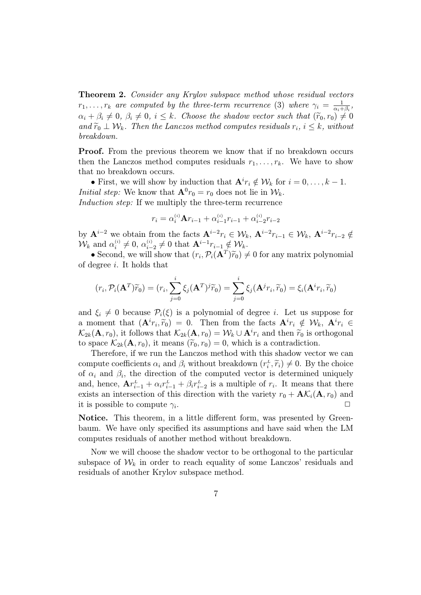**Theorem 2.** Consider any Krylov subspace method whose residual vectors  $r_1, \ldots, r_k$  are computed by the three-term recurrence (3) where  $\gamma_i = \frac{1}{\alpha_i + 1}$  $\frac{1}{\alpha_i+\beta_i},$  $\alpha_i + \beta_i \neq 0, \ \beta_i \neq 0, \ i \leq k$ . Choose the shadow vector such that  $(\widetilde{r}_0, r_0) \neq 0$ and  $\widetilde{r}_0 \perp W_k$ . Then the Lanczos method computes residuals  $r_i$ ,  $i \leq k$ , without breakdown.

**Proof.** From the previous theorem we know that if no breakdown occurs then the Lanczos method computes residuals  $r_1, \ldots, r_k$ . We have to show that no breakdown occurs.

• First, we will show by induction that  $\mathbf{A}^i r_i \notin \mathcal{W}_k$  for  $i = 0, \ldots, k - 1$ . *Initial step:* We know that  $\mathbf{A}^0 r_0 = r_0$  does not lie in  $\mathcal{W}_k$ . Induction step: If we multiply the three-term recurrence

$$
r_i = \alpha_i^{(i)} \mathbf{A} r_{i-1} + \alpha_{i-1}^{(i)} r_{i-1} + \alpha_{i-2}^{(i)} r_{i-2}
$$

by  $\mathbf{A}^{i-2}$  we obtain from the facts  $\mathbf{A}^{i-2}r_i \in \mathcal{W}_k$ ,  $\mathbf{A}^{i-2}r_{i-1} \in \mathcal{W}_k$ ,  $\mathbf{A}^{i-2}r_{i-2} \notin$  $\mathcal{W}_k$  and  $\alpha_i^{(i)} \neq 0$ ,  $\alpha_{i-2}^{(i)} \neq 0$  that  $\mathbf{A}^{i-1} r_{i-1} \notin \mathcal{W}_k$ .

• Second, we will show that  $(r_i, \mathcal{P}_i(\mathbf{A}^T)\widetilde{r}_0) \neq 0$  for any matrix polynomial of degree i. It holds that

$$
(r_i, \mathcal{P}_i(\mathbf{A}^T)\widetilde{r}_0) = (r_i, \sum_{j=0}^i \xi_j(\mathbf{A}^T)^j \widetilde{r}_0) = \sum_{j=0}^i \xi_j(\mathbf{A}^j r_i, \widetilde{r}_0) = \xi_i(\mathbf{A}^i r_i, \widetilde{r}_0)
$$

and  $\xi_i \neq 0$  because  $\mathcal{P}_i(\xi)$  is a polynomial of degree i. Let us suppose for a moment that  $(\mathbf{A}^i r_i, \widetilde{r}_0) = 0$ . Then from the facts  $\mathbf{A}^i r_i \notin \mathcal{W}_k$ ,  $\mathbf{A}^i r_i \in$  $\mathcal{K}_{2k}(\mathbf{A}, r_0)$ , it follows that  $\mathcal{K}_{2k}(\mathbf{A}, r_0) = \mathcal{W}_k \cup \mathbf{A}^i r_i$  and then  $\widetilde{r}_0$  is orthogonal to space  $\mathcal{K}_{2k}(\mathbf{A}, r_0)$ , it means  $(\widetilde{r}_0, r_0) = 0$ , which is a contradiction.

Therefore, if we run the Lanczos method with this shadow vector we can compute coefficients  $\alpha_i$  and  $\beta_i$  without breakdown  $(r_i^L, \tilde{r}_i) \neq 0$ . By the choice of  $\alpha_i$  and  $\beta_i$ , the direction of the computed vector is determined uniquely and, hence,  $\mathbf{A}r_{i-1}^L + \alpha_i r_{i-1}^L + \beta_i r_{i-2}^L$  is a multiple of  $r_i$ . It means that there exists an intersection of this direction with the variety  $r_0 + \mathbf{A}\mathcal{K}_i(\mathbf{A}, r_0)$  and it is possible to compute  $\gamma_i$ . .  $\Box$ 

Notice. This theorem, in a little different form, was presented by Greenbaum. We have only specified its assumptions and have said when the LM computes residuals of another method without breakdown.

Now we will choose the shadow vector to be orthogonal to the particular subspace of  $W_k$  in order to reach equality of some Lanczos' residuals and residuals of another Krylov subspace method.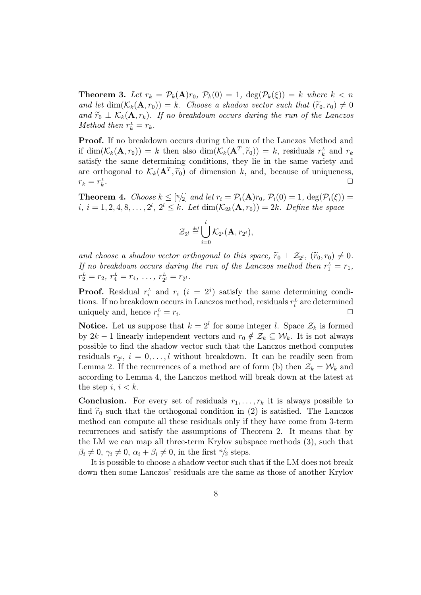**Theorem 3.** Let  $r_k = \mathcal{P}_k(\mathbf{A})r_0$ ,  $\mathcal{P}_k(0) = 1$ ,  $\deg(\mathcal{P}_k(\xi)) = k$  where  $k < n$ and let  $\dim(\mathcal{K}_k(\mathbf{A}, r_0)) = k$ . Choose a shadow vector such that  $(\widetilde{r}_0, r_0) \neq 0$ and  $\widetilde{r}_0 \perp \mathcal{K}_k(\mathbf{A}, r_k)$ . If no breakdown occurs during the run of the Lanczos Method then  $r_k^L = r_k$ .

Proof. If no breakdown occurs during the run of the Lanczos Method and if  $\dim(\mathcal{K}_k(\mathbf{A}, r_0)) = k$  then also  $\dim(\mathcal{K}_k(\mathbf{A}^T, \tilde{r}_0)) = k$ , residuals  $r_k^L$  and  $r_k$ satisfy the same determining conditions, they lie in the same variety and are orthogonal to  $\mathcal{K}_k(\mathbf{A}^T, \tilde{r}_0)$  of dimension k, and, because of uniqueness,  $r_k = r_k^L$ . ✷

**Theorem 4.** Choose  $k \leq [n/2]$  and let  $r_i = \mathcal{P}_i(\mathbf{A})r_0$ ,  $\mathcal{P}_i(0) = 1$ ,  $\deg(\mathcal{P}_i(\xi)) =$  $i, i = 1, 2, 4, 8, \ldots, 2^l, 2^l \leq k$ . Let  $\dim(\mathcal{K}_{2k}(\mathbf{A}, r_0)) = 2k$ . Define the space

$$
\mathcal{Z}_{2^l} \stackrel{\mathrm{{\scriptscriptstyle def}}}{=} \bigcup_{i=0}^l \mathcal{K}_{2^i}(\mathbf{A},r_{2^i}),
$$

and choose a shadow vector orthogonal to this space,  $\tilde{r}_0 \perp \mathcal{Z}_{2^l}$ ,  $(\tilde{r}_0, r_0) \neq 0$ . If no breakdown occurs during the run of the Lanczos method then  $r_1^L = r_1$ ,  $r_2^L = r_2, r_4^L = r_4, \ldots, r_{2^l}^L = r_{2^l}.$ 

**Proof.** Residual  $r_i$  and  $r_i$  ( $i = 2^j$ ) satisfy the same determining conditions. If no breakdown occurs in Lanczos method, residuals  $r_i^{\text{L}}$  are determined uniquely and, hence  $r_i^L = r_i$ . The contract of the contract of  $\Box$ 

**Notice.** Let us suppose that  $k = 2^l$  for some integer l. Space  $\mathcal{Z}_k$  is formed by  $2k-1$  linearly independent vectors and  $r_0 \notin \mathcal{Z}_k \subseteq \mathcal{W}_k$ . It is not always possible to find the shadow vector such that the Lanczos method computes residuals  $r_{2^i}, i = 0, \ldots, l$  without breakdown. It can be readily seen from Lemma 2. If the recurrences of a method are of form (b) then  $\mathcal{Z}_k = \mathcal{W}_k$  and according to Lemma 4, the Lanczos method will break down at the latest at the step  $i, i < k$ .

**Conclusion.** For every set of residuals  $r_1, \ldots, r_k$  it is always possible to find  $\tilde{r}_0$  such that the orthogonal condition in (2) is satisfied. The Lanczos method can compute all these residuals only if they have come from 3-term recurrences and satisfy the assumptions of Theorem 2. It means that by the LM we can map all three-term Krylov subspace methods (3), such that  $\beta_i \neq 0, \gamma_i \neq 0, \alpha_i + \beta_i \neq 0$ , in the first  $n/2$  steps.

It is possible to choose a shadow vector such that if the LM does not break down then some Lanczos' residuals are the same as those of another Krylov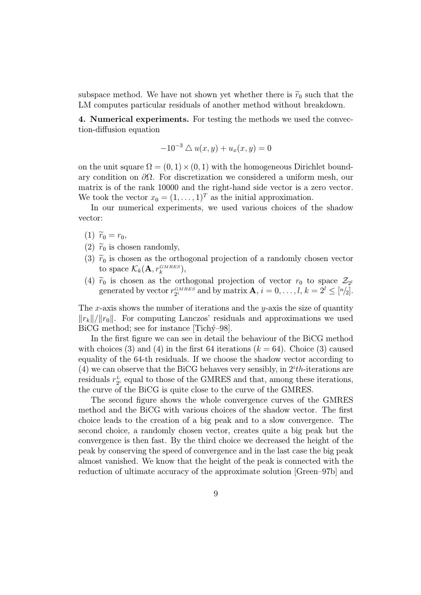subspace method. We have not shown yet whether there is  $\tilde{r}_0$  such that the LM computes particular residuals of another method without breakdown.

4. Numerical experiments. For testing the methods we used the convection-diffusion equation

$$
-10^{-3} \triangle u(x, y) + u_x(x, y) = 0
$$

on the unit square  $\Omega = (0, 1) \times (0, 1)$  with the homogeneous Dirichlet boundary condition on  $\partial\Omega$ . For discretization we considered a uniform mesh, our matrix is of the rank 10000 and the right-hand side vector is a zero vector. We took the vector  $x_0 = (1, \ldots, 1)^T$  as the initial approximation.

In our numerical experiments, we used various choices of the shadow vector:

- (1)  $\widetilde{r}_0 = r_0,$
- (2)  $\widetilde{r}_0$  is chosen randomly,
- (3)  $\tilde{r}_0$  is chosen as the orthogonal projection of a randomly chosen vector to space  $\mathcal{K}_k(\mathbf{A}, r_k^{GMRES}),$
- (4)  $\widetilde{r}_0$  is chosen as the orthogonal projection of vector  $r_0$  to space  $\mathcal{Z}_{2^l}$ generated by vector  $r_{2^i}^{GMRES}$  and by matrix  $\mathbf{A}, i = 0, \ldots, l, k = 2^l \leq [n/2].$

The x-axis shows the number of iterations and the y-axis the size of quantity  $\|r_k\|/\|r_0\|$ . For computing Lanczos' residuals and approximations we used BiCG method; see for instance  $[Tichy-98]$ .

In the first figure we can see in detail the behaviour of the BiCG method with choices (3) and (4) in the first 64 iterations ( $k = 64$ ). Choice (3) caused equality of the 64-th residuals. If we choose the shadow vector according to (4) we can observe that the BiCG behaves very sensibly, in  $2^{i}th$ -iterations are residuals  $r_{2^i}^L$  equal to those of the GMRES and that, among these iterations, the curve of the BiCG is quite close to the curve of the GMRES.

The second figure shows the whole convergence curves of the GMRES method and the BiCG with various choices of the shadow vector. The first choice leads to the creation of a big peak and to a slow convergence. The second choice, a randomly chosen vector, creates quite a big peak but the convergence is then fast. By the third choice we decreased the height of the peak by conserving the speed of convergence and in the last case the big peak almost vanished. We know that the height of the peak is connected with the reduction of ultimate accuracy of the approximate solution [Green–97b] and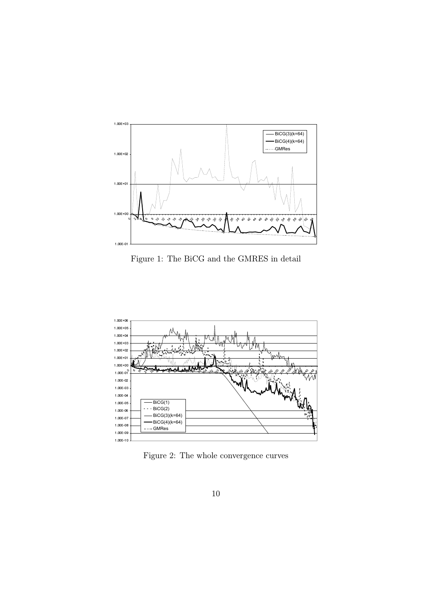

Figure 1: The BiCG and the GMRES in detail



Figure 2: The whole convergence curves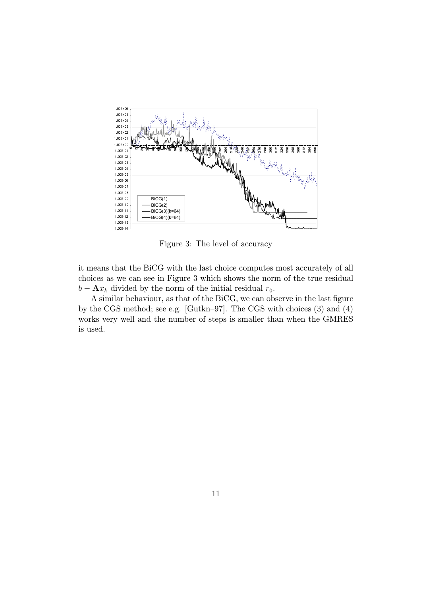

Figure 3: The level of accuracy

it means that the BiCG with the last choice computes most accurately of all choices as we can see in Figure 3 which shows the norm of the true residual  $b - \mathbf{A}x_k$  divided by the norm of the initial residual  $r_0$ .

A similar behaviour, as that of the BiCG, we can observe in the last figure by the CGS method; see e.g. [Gutkn–97]. The CGS with choices (3) and (4) works very well and the number of steps is smaller than when the GMRES is used.